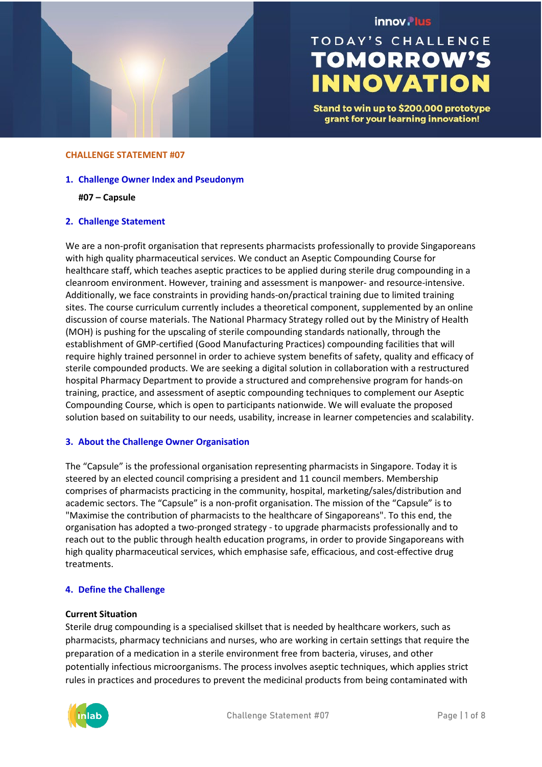

# innov. lus

# **TODAY'S CHALLENGE TOMORROW'S INNOVATION**

Stand to win up to \$200,000 prototype grant for your learning innovation!

#### **CHALLENGE STATEMENT #07**

- **1. Challenge Owner Index and Pseudonym**
	- **#07 – Capsule**

## **2. Challenge Statement**

We are a non-profit organisation that represents pharmacists professionally to provide Singaporeans with high quality pharmaceutical services. We conduct an Aseptic Compounding Course for healthcare staff, which teaches aseptic practices to be applied during sterile drug compounding in a cleanroom environment. However, training and assessment is manpower- and resource-intensive. Additionally, we face constraints in providing hands-on/practical training due to limited training sites. The course curriculum currently includes a theoretical component, supplemented by an online discussion of course materials. The National Pharmacy Strategy rolled out by the Ministry of Health (MOH) is pushing for the upscaling of sterile compounding standards nationally, through the establishment of GMP-certified (Good Manufacturing Practices) compounding facilities that will require highly trained personnel in order to achieve system benefits of safety, quality and efficacy of sterile compounded products. We are seeking a digital solution in collaboration with a restructured hospital Pharmacy Department to provide a structured and comprehensive program for hands-on training, practice, and assessment of aseptic compounding techniques to complement our Aseptic Compounding Course, which is open to participants nationwide. We will evaluate the proposed solution based on suitability to our needs, usability, increase in learner competencies and scalability.

## **3. About the Challenge Owner Organisation**

The "Capsule" is the professional organisation representing pharmacists in Singapore. Today it is steered by an elected council comprising a president and 11 council members. Membership comprises of pharmacists practicing in the community, hospital, marketing/sales/distribution and academic sectors. The "Capsule" is a non-profit organisation. The mission of the "Capsule" is to "Maximise the contribution of pharmacists to the healthcare of Singaporeans". To this end, the organisation has adopted a two-pronged strategy - to upgrade pharmacists professionally and to reach out to the public through health education programs, in order to provide Singaporeans with high quality pharmaceutical services, which emphasise safe, efficacious, and cost-effective drug treatments.

## **4. Define the Challenge**

#### **Current Situation**

Sterile drug compounding is a specialised skillset that is needed by healthcare workers, such as pharmacists, pharmacy technicians and nurses, who are working in certain settings that require the preparation of a medication in a sterile environment free from bacteria, viruses, and other potentially infectious microorganisms. The process involves aseptic techniques, which applies strict rules in practices and procedures to prevent the medicinal products from being contaminated with

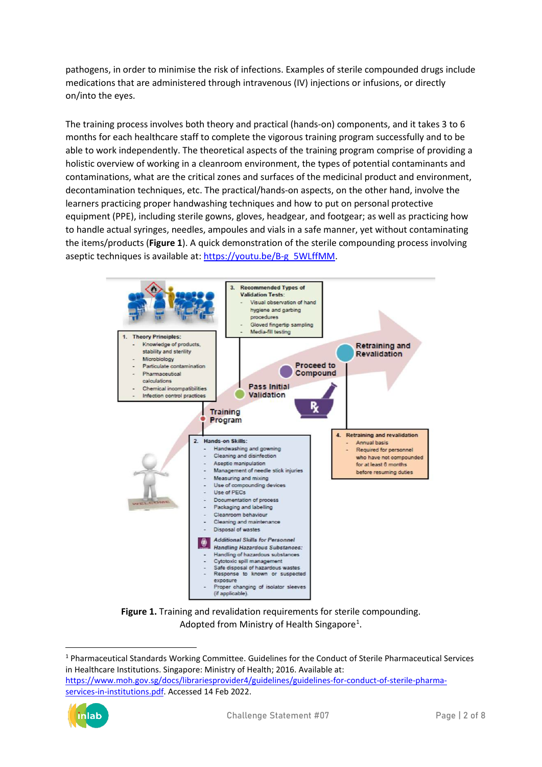pathogens, in order to minimise the risk of infections. Examples of sterile compounded drugs include medications that are administered through intravenous (IV) injections or infusions, or directly on/into the eyes.

The training process involves both theory and practical (hands-on) components, and it takes 3 to 6 months for each healthcare staff to complete the vigorous training program successfully and to be able to work independently. The theoretical aspects of the training program comprise of providing a holistic overview of working in a cleanroom environment, the types of potential contaminants and contaminations, what are the critical zones and surfaces of the medicinal product and environment, decontamination techniques, etc. The practical/hands-on aspects, on the other hand, involve the learners practicing proper handwashing techniques and how to put on personal protective equipment (PPE), including sterile gowns, gloves, headgear, and footgear; as well as practicing how to handle actual syringes, needles, ampoules and vials in a safe manner, yet without contaminating the items/products (**Figure 1**). A quick demonstration of the sterile compounding process involving aseptic techniques is available at[: https://youtu.be/B-g\\_5WLffMM.](https://youtu.be/B-g_5WLffMM)



**Figure 1.** Training and revalidation requirements for sterile compounding. Adopted from Ministry of Health Singapore<sup>1</sup>.

<span id="page-1-0"></span><sup>1</sup> Pharmaceutical Standards Working Committee. Guidelines for the Conduct of Sterile Pharmaceutical Services in Healthcare Institutions. Singapore: Ministry of Health; 2016. Available at: [https://www.moh.gov.sg/docs/librariesprovider4/guidelines/guidelines-for-conduct-of-sterile-pharma](https://www.moh.gov.sg/docs/librariesprovider4/guidelines/guidelines-for-conduct-of-sterile-pharma-services-in-institutions.pdf)[services-in-institutions.pdf.](https://www.moh.gov.sg/docs/librariesprovider4/guidelines/guidelines-for-conduct-of-sterile-pharma-services-in-institutions.pdf) Accessed 14 Feb 2022.

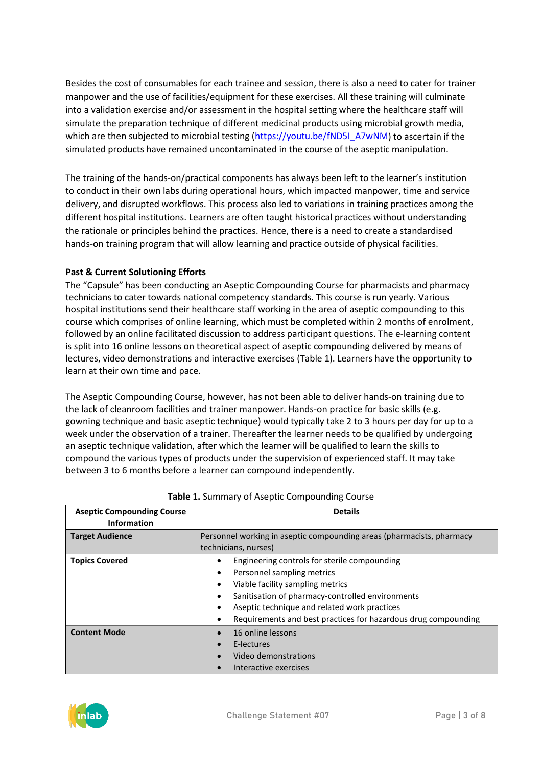Besides the cost of consumables for each trainee and session, there is also a need to cater for trainer manpower and the use of facilities/equipment for these exercises. All these training will culminate into a validation exercise and/or assessment in the hospital setting where the healthcare staff will simulate the preparation technique of different medicinal products using microbial growth media, which are then subjected to microbial testing [\(https://youtu.be/fND5I\\_A7wNM\)](https://youtu.be/fND5I_A7wNM) to ascertain if the simulated products have remained uncontaminated in the course of the aseptic manipulation.

The training of the hands-on/practical components has always been left to the learner's institution to conduct in their own labs during operational hours, which impacted manpower, time and service delivery, and disrupted workflows. This process also led to variations in training practices among the different hospital institutions. Learners are often taught historical practices without understanding the rationale or principles behind the practices. Hence, there is a need to create a standardised hands-on training program that will allow learning and practice outside of physical facilities.

# **Past & Current Solutioning Efforts**

The "Capsule" has been conducting an Aseptic Compounding Course for pharmacists and pharmacy technicians to cater towards national competency standards. This course is run yearly. Various hospital institutions send their healthcare staff working in the area of aseptic compounding to this course which comprises of online learning, which must be completed within 2 months of enrolment, followed by an online facilitated discussion to address participant questions. The e-learning content is split into 16 online lessons on theoretical aspect of aseptic compounding delivered by means of lectures, video demonstrations and interactive exercises (Table 1). Learners have the opportunity to learn at their own time and pace.

The Aseptic Compounding Course, however, has not been able to deliver hands-on training due to the lack of cleanroom facilities and trainer manpower. Hands-on practice for basic skills (e.g. gowning technique and basic aseptic technique) would typically take 2 to 3 hours per day for up to a week under the observation of a trainer. Thereafter the learner needs to be qualified by undergoing an aseptic technique validation, after which the learner will be qualified to learn the skills to compound the various types of products under the supervision of experienced staff. It may take between 3 to 6 months before a learner can compound independently.

| <b>Aseptic Compounding Course</b><br><b>Information</b> | <b>Details</b>                                                                                                                                                                                                                                                                                                      |
|---------------------------------------------------------|---------------------------------------------------------------------------------------------------------------------------------------------------------------------------------------------------------------------------------------------------------------------------------------------------------------------|
| <b>Target Audience</b>                                  | Personnel working in aseptic compounding areas (pharmacists, pharmacy<br>technicians, nurses)                                                                                                                                                                                                                       |
| <b>Topics Covered</b>                                   | Engineering controls for sterile compounding<br>Personnel sampling metrics<br>٠<br>Viable facility sampling metrics<br>$\bullet$<br>Sanitisation of pharmacy-controlled environments<br>Aseptic technique and related work practices<br>Requirements and best practices for hazardous drug compounding<br>$\bullet$ |
| <b>Content Mode</b>                                     | 16 online lessons<br>E-lectures<br>Video demonstrations<br>Interactive exercises                                                                                                                                                                                                                                    |

## **Table 1.** Summary of Aseptic Compounding Course

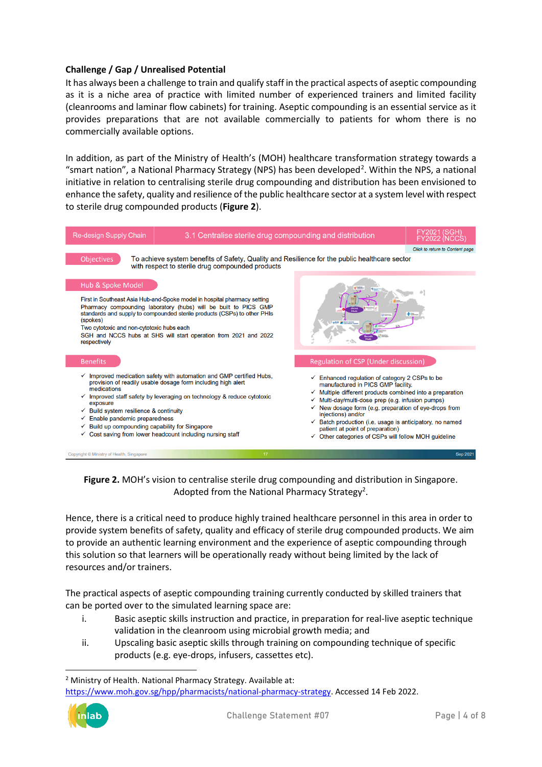# **Challenge / Gap / Unrealised Potential**

It has always been a challenge to train and qualify staff in the practical aspects of aseptic compounding as it is a niche area of practice with limited number of experienced trainers and limited facility (cleanrooms and laminar flow cabinets) for training. Aseptic compounding is an essential service as it provides preparations that are not available commercially to patients for whom there is no commercially available options.

In addition, as part of the Ministry of Health's (MOH) healthcare transformation strategy towards a "smart nation", a National Pharmacy Strategy (NPS) has been developed<sup>[2](#page-3-0)</sup>. Within the NPS, a national initiative in relation to centralising sterile drug compounding and distribution has been envisioned to enhance the safety, quality and resilience of the public healthcare sector at a system level with respect to sterile drug compounded products (**Figure 2**).



**Figure 2.** MOH's vision to centralise sterile drug compounding and distribution in Singapore. Adopted from the National Pharmacy Strategy<sup>2</sup>.

Hence, there is a critical need to produce highly trained healthcare personnel in this area in order to provide system benefits of safety, quality and efficacy of sterile drug compounded products. We aim to provide an authentic learning environment and the experience of aseptic compounding through this solution so that learners will be operationally ready without being limited by the lack of resources and/or trainers.

The practical aspects of aseptic compounding training currently conducted by skilled trainers that can be ported over to the simulated learning space are:

- i. Basic aseptic skills instruction and practice, in preparation for real-live aseptic technique validation in the cleanroom using microbial growth media; and
- ii. Upscaling basic aseptic skills through training on compounding technique of specific products (e.g. eye-drops, infusers, cassettes etc).

[https://www.moh.gov.sg/hpp/pharmacists/national-pharmacy-strategy.](https://www.moh.gov.sg/hpp/pharmacists/national-pharmacy-strategy) Accessed 14 Feb 2022.



<span id="page-3-0"></span><sup>&</sup>lt;sup>2</sup> Ministry of Health. National Pharmacy Strategy. Available at: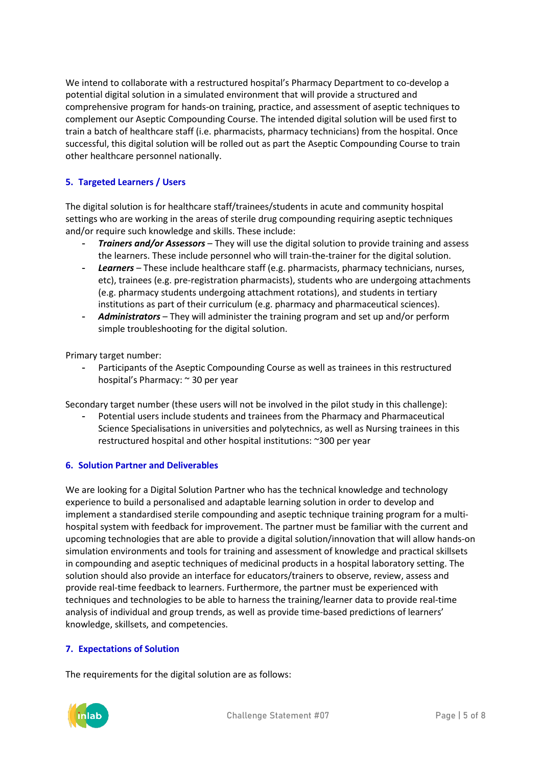We intend to collaborate with a restructured hospital's Pharmacy Department to co-develop a potential digital solution in a simulated environment that will provide a structured and comprehensive program for hands-on training, practice, and assessment of aseptic techniques to complement our Aseptic Compounding Course. The intended digital solution will be used first to train a batch of healthcare staff (i.e. pharmacists, pharmacy technicians) from the hospital. Once successful, this digital solution will be rolled out as part the Aseptic Compounding Course to train other healthcare personnel nationally.

# **5. Targeted Learners / Users**

The digital solution is for healthcare staff/trainees/students in acute and community hospital settings who are working in the areas of sterile drug compounding requiring aseptic techniques and/or require such knowledge and skills. These include:

- *Trainers and/or Assessors*  They will use the digital solution to provide training and assess the learners. These include personnel who will train-the-trainer for the digital solution.
- *Learners*  These include healthcare staff (e.g. pharmacists, pharmacy technicians, nurses, etc), trainees (e.g. pre-registration pharmacists), students who are undergoing attachments (e.g. pharmacy students undergoing attachment rotations), and students in tertiary institutions as part of their curriculum (e.g. pharmacy and pharmaceutical sciences).
- *Administrators*  They will administer the training program and set up and/or perform simple troubleshooting for the digital solution.

Primary target number:

Participants of the Aseptic Compounding Course as well as trainees in this restructured hospital's Pharmacy: ~ 30 per year

Secondary target number (these users will not be involved in the pilot study in this challenge):

- Potential users include students and trainees from the Pharmacy and Pharmaceutical Science Specialisations in universities and polytechnics, as well as Nursing trainees in this restructured hospital and other hospital institutions: ~300 per year

# **6. Solution Partner and Deliverables**

We are looking for a Digital Solution Partner who has the technical knowledge and technology experience to build a personalised and adaptable learning solution in order to develop and implement a standardised sterile compounding and aseptic technique training program for a multihospital system with feedback for improvement. The partner must be familiar with the current and upcoming technologies that are able to provide a digital solution/innovation that will allow hands-on simulation environments and tools for training and assessment of knowledge and practical skillsets in compounding and aseptic techniques of medicinal products in a hospital laboratory setting. The solution should also provide an interface for educators/trainers to observe, review, assess and provide real-time feedback to learners. Furthermore, the partner must be experienced with techniques and technologies to be able to harness the training/learner data to provide real-time analysis of individual and group trends, as well as provide time-based predictions of learners' knowledge, skillsets, and competencies.

# **7. Expectations of Solution**

The requirements for the digital solution are as follows:

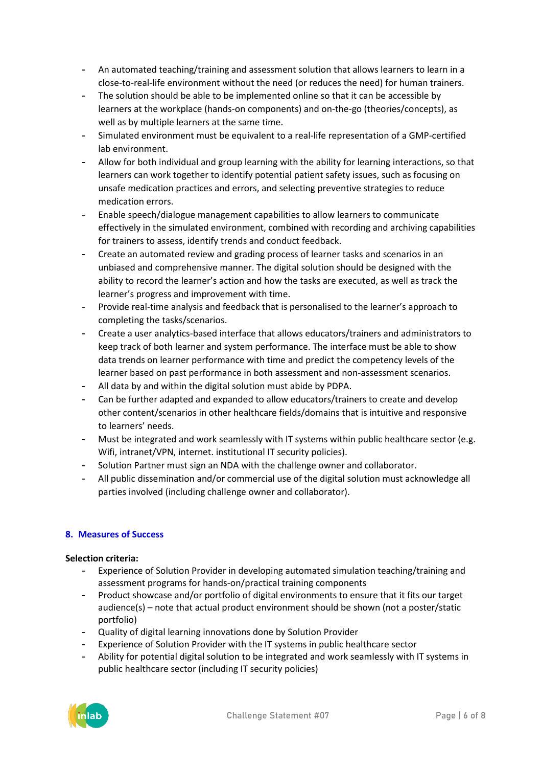- An automated teaching/training and assessment solution that allows learners to learn in a close-to-real-life environment without the need (or reduces the need) for human trainers.
- The solution should be able to be implemented online so that it can be accessible by learners at the workplace (hands-on components) and on-the-go (theories/concepts), as well as by multiple learners at the same time.
- Simulated environment must be equivalent to a real-life representation of a GMP-certified lab environment.
- Allow for both individual and group learning with the ability for learning interactions, so that learners can work together to identify potential patient safety issues, such as focusing on unsafe medication practices and errors, and selecting preventive strategies to reduce medication errors.
- Enable speech/dialogue management capabilities to allow learners to communicate effectively in the simulated environment, combined with recording and archiving capabilities for trainers to assess, identify trends and conduct feedback.
- Create an automated review and grading process of learner tasks and scenarios in an unbiased and comprehensive manner. The digital solution should be designed with the ability to record the learner's action and how the tasks are executed, as well as track the learner's progress and improvement with time.
- Provide real-time analysis and feedback that is personalised to the learner's approach to completing the tasks/scenarios.
- Create a user analytics-based interface that allows educators/trainers and administrators to keep track of both learner and system performance. The interface must be able to show data trends on learner performance with time and predict the competency levels of the learner based on past performance in both assessment and non-assessment scenarios.
- All data by and within the digital solution must abide by PDPA.
- Can be further adapted and expanded to allow educators/trainers to create and develop other content/scenarios in other healthcare fields/domains that is intuitive and responsive to learners' needs.
- Must be integrated and work seamlessly with IT systems within public healthcare sector (e.g. Wifi, intranet/VPN, internet. institutional IT security policies).
- Solution Partner must sign an NDA with the challenge owner and collaborator.
- All public dissemination and/or commercial use of the digital solution must acknowledge all parties involved (including challenge owner and collaborator).

# **8. Measures of Success**

# **Selection criteria:**

- Experience of Solution Provider in developing automated simulation teaching/training and assessment programs for hands-on/practical training components
- Product showcase and/or portfolio of digital environments to ensure that it fits our target audience(s) – note that actual product environment should be shown (not a poster/static portfolio)
- Quality of digital learning innovations done by Solution Provider
- Experience of Solution Provider with the IT systems in public healthcare sector
- Ability for potential digital solution to be integrated and work seamlessly with IT systems in public healthcare sector (including IT security policies)

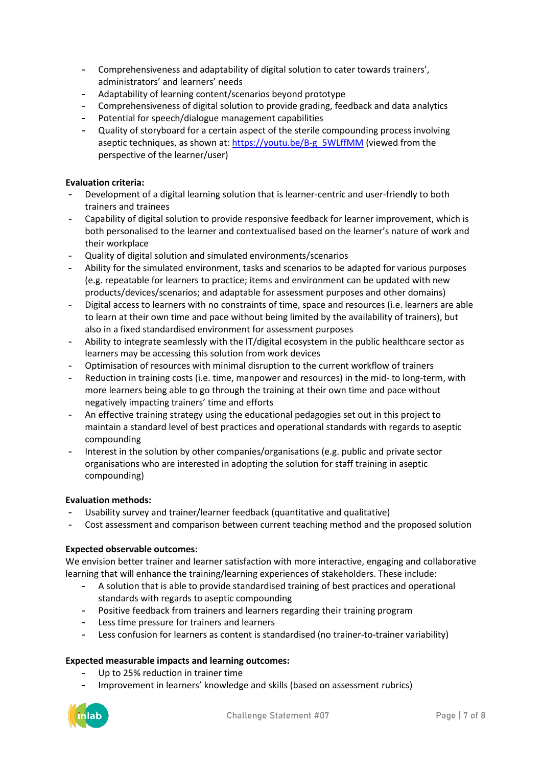- Comprehensiveness and adaptability of digital solution to cater towards trainers', administrators' and learners' needs
- Adaptability of learning content/scenarios beyond prototype
- Comprehensiveness of digital solution to provide grading, feedback and data analytics
- Potential for speech/dialogue management capabilities
- Quality of storyboard for a certain aspect of the sterile compounding process involving aseptic techniques, as shown at: [https://youtu.be/B-g\\_5WLffMM](https://youtu.be/B-g_5WLffMM) (viewed from the perspective of the learner/user)

## **Evaluation criteria:**

- Development of a digital learning solution that is learner-centric and user-friendly to both trainers and trainees
- Capability of digital solution to provide responsive feedback for learner improvement, which is both personalised to the learner and contextualised based on the learner's nature of work and their workplace
- Quality of digital solution and simulated environments/scenarios
- Ability for the simulated environment, tasks and scenarios to be adapted for various purposes (e.g. repeatable for learners to practice; items and environment can be updated with new products/devices/scenarios; and adaptable for assessment purposes and other domains)
- Digital access to learners with no constraints of time, space and resources (i.e. learners are able to learn at their own time and pace without being limited by the availability of trainers), but also in a fixed standardised environment for assessment purposes
- Ability to integrate seamlessly with the IT/digital ecosystem in the public healthcare sector as learners may be accessing this solution from work devices
- Optimisation of resources with minimal disruption to the current workflow of trainers
- Reduction in training costs (i.e. time, manpower and resources) in the mid- to long-term, with more learners being able to go through the training at their own time and pace without negatively impacting trainers' time and efforts
- An effective training strategy using the educational pedagogies set out in this project to maintain a standard level of best practices and operational standards with regards to aseptic compounding
- Interest in the solution by other companies/organisations (e.g. public and private sector organisations who are interested in adopting the solution for staff training in aseptic compounding)

## **Evaluation methods:**

- Usability survey and trainer/learner feedback (quantitative and qualitative)
- Cost assessment and comparison between current teaching method and the proposed solution

## **Expected observable outcomes:**

We envision better trainer and learner satisfaction with more interactive, engaging and collaborative learning that will enhance the training/learning experiences of stakeholders. These include:

- A solution that is able to provide standardised training of best practices and operational standards with regards to aseptic compounding
- Positive feedback from trainers and learners regarding their training program
- Less time pressure for trainers and learners
- Less confusion for learners as content is standardised (no trainer-to-trainer variability)

## **Expected measurable impacts and learning outcomes:**

- Up to 25% reduction in trainer time
- Improvement in learners' knowledge and skills (based on assessment rubrics)